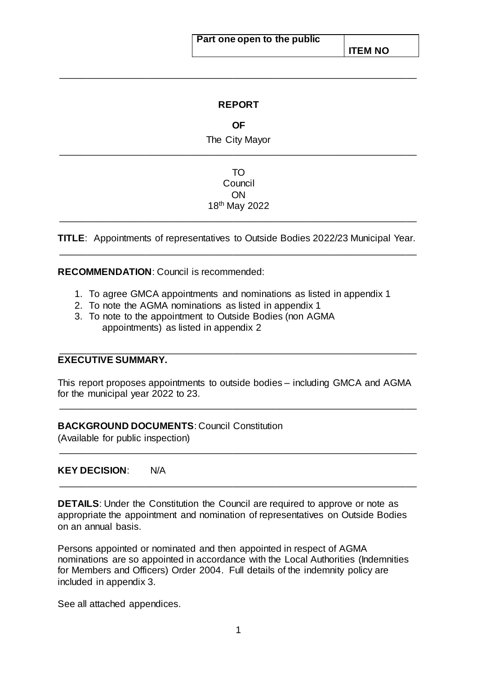### **REPORT**

\_\_\_\_\_\_\_\_\_\_\_\_\_\_\_\_\_\_\_\_\_\_\_\_\_\_\_\_\_\_\_\_\_\_\_\_\_\_\_\_\_\_\_\_\_\_\_\_\_\_\_\_\_\_\_\_\_\_\_\_\_\_\_\_\_\_

# **OF**

The City Mayor \_\_\_\_\_\_\_\_\_\_\_\_\_\_\_\_\_\_\_\_\_\_\_\_\_\_\_\_\_\_\_\_\_\_\_\_\_\_\_\_\_\_\_\_\_\_\_\_\_\_\_\_\_\_\_\_\_\_\_\_\_\_\_\_\_\_

## TO **Council ON** 18 th May 2022

**TITLE**: Appointments of representatives to Outside Bodies 2022/23 Municipal Year. \_\_\_\_\_\_\_\_\_\_\_\_\_\_\_\_\_\_\_\_\_\_\_\_\_\_\_\_\_\_\_\_\_\_\_\_\_\_\_\_\_\_\_\_\_\_\_\_\_\_\_\_\_\_\_\_\_\_\_\_\_\_\_\_\_\_

\_\_\_\_\_\_\_\_\_\_\_\_\_\_\_\_\_\_\_\_\_\_\_\_\_\_\_\_\_\_\_\_\_\_\_\_\_\_\_\_\_\_\_\_\_\_\_\_\_\_\_\_\_\_\_\_\_\_\_\_\_\_\_\_\_\_

**RECOMMENDATION**: Council is recommended:

- 1. To agree GMCA appointments and nominations as listed in appendix 1
- 2. To note the AGMA nominations as listed in appendix 1
- 3. To note to the appointment to Outside Bodies (non AGMA appointments) as listed in appendix 2

## **EXECUTIVE SUMMARY.**

This report proposes appointments to outside bodies – including GMCA and AGMA for the municipal year 2022 to 23.

\_\_\_\_\_\_\_\_\_\_\_\_\_\_\_\_\_\_\_\_\_\_\_\_\_\_\_\_\_\_\_\_\_\_\_\_\_\_\_\_\_\_\_\_\_\_\_\_\_\_\_\_\_\_\_\_\_\_\_\_\_\_\_\_\_\_

\_\_\_\_\_\_\_\_\_\_\_\_\_\_\_\_\_\_\_\_\_\_\_\_\_\_\_\_\_\_\_\_\_\_\_\_\_\_\_\_\_\_\_\_\_\_\_\_\_\_\_\_\_\_\_\_\_\_\_\_\_\_\_\_\_\_

\_\_\_\_\_\_\_\_\_\_\_\_\_\_\_\_\_\_\_\_\_\_\_\_\_\_\_\_\_\_\_\_\_\_\_\_\_\_\_\_\_\_\_\_\_\_\_\_\_\_\_\_\_\_\_\_\_\_\_\_\_\_\_\_\_\_

\_\_\_\_\_\_\_\_\_\_\_\_\_\_\_\_\_\_\_\_\_\_\_\_\_\_\_\_\_\_\_\_\_\_\_\_\_\_\_\_\_\_\_\_\_\_\_\_\_\_\_\_\_\_\_\_\_\_\_\_\_\_\_\_\_\_

#### **BACKGROUND DOCUMENTS**: Council Constitution

(Available for public inspection)

#### **KEY DECISION**: N/A

**DETAILS:** Under the Constitution the Council are required to approve or note as appropriate the appointment and nomination of representatives on Outside Bodies on an annual basis.

Persons appointed or nominated and then appointed in respect of AGMA nominations are so appointed in accordance with the Local Authorities (Indemnities for Members and Officers) Order 2004. Full details of the indemnity policy are included in appendix 3.

See all attached appendices.